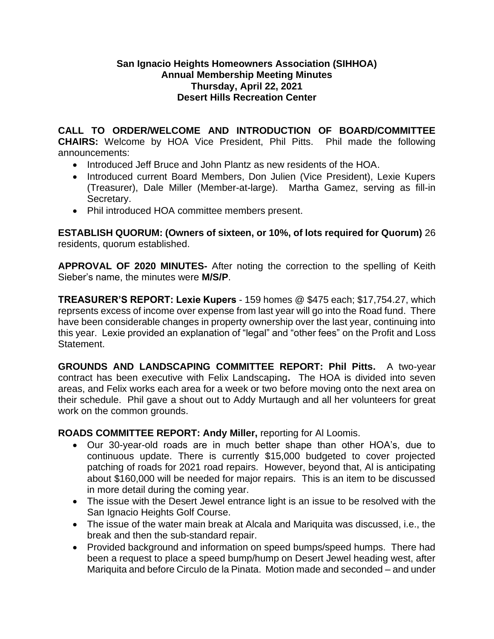## **San Ignacio Heights Homeowners Association (SIHHOA) Annual Membership Meeting Minutes Thursday, April 22, 2021 Desert Hills Recreation Center**

**CALL TO ORDER/WELCOME AND INTRODUCTION OF BOARD/COMMITTEE CHAIRS:** Welcome by HOA Vice President, Phil Pitts. Phil made the following announcements:

- Introduced Jeff Bruce and John Plantz as new residents of the HOA.
- Introduced current Board Members, Don Julien (Vice President), Lexie Kupers (Treasurer), Dale Miller (Member-at-large). Martha Gamez, serving as fill-in Secretary.
- Phil introduced HOA committee members present.

**ESTABLISH QUORUM: (Owners of sixteen, or 10%, of lots required for Quorum)** 26 residents, quorum established.

**APPROVAL OF 2020 MINUTES-** After noting the correction to the spelling of Keith Sieber's name, the minutes were **M/S/P**.

**TREASURER'S REPORT: Lexie Kupers** - 159 homes @ \$475 each; \$17,754.27, which reprsents excess of income over expense from last year will go into the Road fund. There have been considerable changes in property ownership over the last year, continuing into this year. Lexie provided an explanation of "legal" and "other fees" on the Profit and Loss Statement.

**GROUNDS AND LANDSCAPING COMMITTEE REPORT: Phil Pitts.** A two-year contract has been executive with Felix Landscaping**.** The HOA is divided into seven areas, and Felix works each area for a week or two before moving onto the next area on their schedule. Phil gave a shout out to Addy Murtaugh and all her volunteers for great work on the common grounds.

## **ROADS COMMITTEE REPORT: Andy Miller,** reporting for Al Loomis.

- Our 30-year-old roads are in much better shape than other HOA's, due to continuous update. There is currently \$15,000 budgeted to cover projected patching of roads for 2021 road repairs. However, beyond that, Al is anticipating about \$160,000 will be needed for major repairs. This is an item to be discussed in more detail during the coming year.
- The issue with the Desert Jewel entrance light is an issue to be resolved with the San Ignacio Heights Golf Course.
- The issue of the water main break at Alcala and Mariquita was discussed, i.e., the break and then the sub-standard repair.
- Provided background and information on speed bumps/speed humps. There had been a request to place a speed bump/hump on Desert Jewel heading west, after Mariquita and before Circulo de la Pinata. Motion made and seconded – and under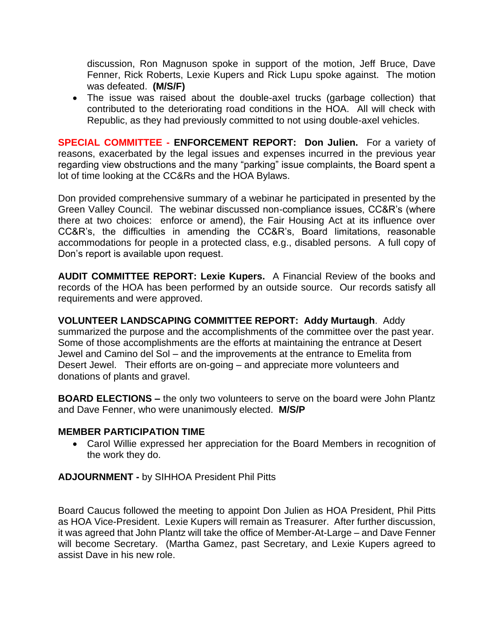discussion, Ron Magnuson spoke in support of the motion, Jeff Bruce, Dave Fenner, Rick Roberts, Lexie Kupers and Rick Lupu spoke against. The motion was defeated. **(M/S/F)**

• The issue was raised about the double-axel trucks (garbage collection) that contributed to the deteriorating road conditions in the HOA. All will check with Republic, as they had previously committed to not using double-axel vehicles.

**SPECIAL COMMITTEE - ENFORCEMENT REPORT: Don Julien.** For a variety of reasons, exacerbated by the legal issues and expenses incurred in the previous year regarding view obstructions and the many "parking" issue complaints, the Board spent a lot of time looking at the CC&Rs and the HOA Bylaws.

Don provided comprehensive summary of a webinar he participated in presented by the Green Valley Council. The webinar discussed non-compliance issues, CC&R's (where there at two choices: enforce or amend), the Fair Housing Act at its influence over CC&R's, the difficulties in amending the CC&R's, Board limitations, reasonable accommodations for people in a protected class, e.g., disabled persons. A full copy of Don's report is available upon request.

**AUDIT COMMITTEE REPORT: Lexie Kupers.** A Financial Review of the books and records of the HOA has been performed by an outside source. Our records satisfy all requirements and were approved.

**VOLUNTEER LANDSCAPING COMMITTEE REPORT: Addy Murtaugh**. Addy summarized the purpose and the accomplishments of the committee over the past year. Some of those accomplishments are the efforts at maintaining the entrance at Desert Jewel and Camino del Sol – and the improvements at the entrance to Emelita from Desert Jewel. Their efforts are on-going – and appreciate more volunteers and donations of plants and gravel.

**BOARD ELECTIONS –** the only two volunteers to serve on the board were John Plantz and Dave Fenner, who were unanimously elected. **M/S/P**

## **MEMBER PARTICIPATION TIME**

• Carol Willie expressed her appreciation for the Board Members in recognition of the work they do.

**ADJOURNMENT -** by SIHHOA President Phil Pitts

Board Caucus followed the meeting to appoint Don Julien as HOA President, Phil Pitts as HOA Vice-President. Lexie Kupers will remain as Treasurer. After further discussion, it was agreed that John Plantz will take the office of Member-At-Large – and Dave Fenner will become Secretary. (Martha Gamez, past Secretary, and Lexie Kupers agreed to assist Dave in his new role.